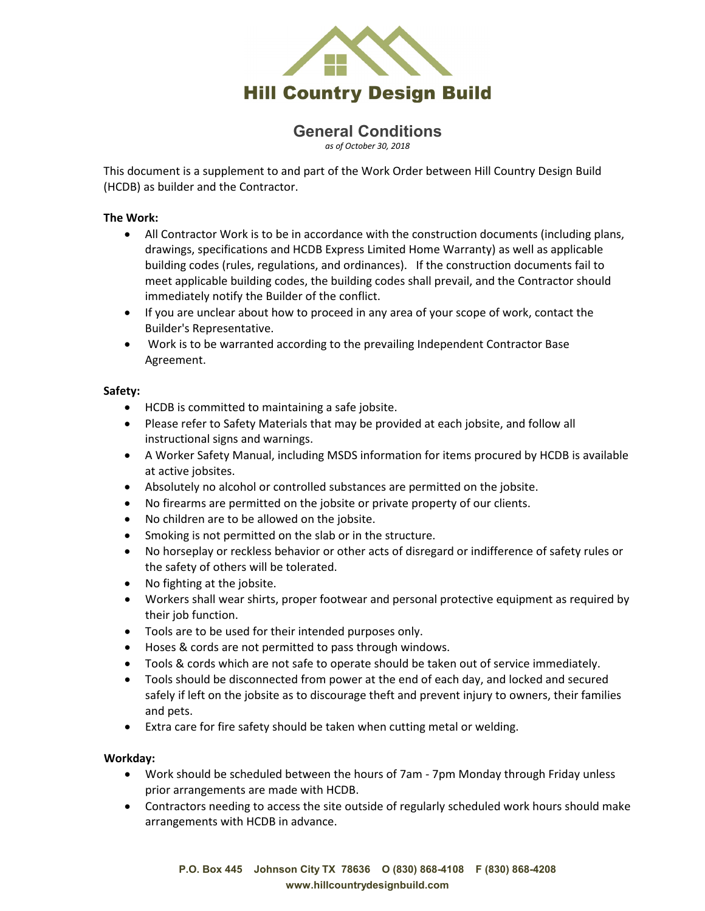

# **General Conditions**

*as of October 30, 2018*

This document is a supplement to and part of the Work Order between Hill Country Design Build (HCDB) as builder and the Contractor.

#### **The Work:**

- All Contractor Work is to be in accordance with the construction documents (including plans, drawings, specifications and HCDB Express Limited Home Warranty) as well as applicable building codes (rules, regulations, and ordinances). If the construction documents fail to meet applicable building codes, the building codes shall prevail, and the Contractor should immediately notify the Builder of the conflict.
- If you are unclear about how to proceed in any area of your scope of work, contact the Builder's Representative.
- Work is to be warranted according to the prevailing Independent Contractor Base Agreement.

### **Safety:**

- HCDB is committed to maintaining a safe jobsite.
- Please refer to Safety Materials that may be provided at each jobsite, and follow all instructional signs and warnings.
- A Worker Safety Manual, including MSDS information for items procured by HCDB is available at active jobsites.
- Absolutely no alcohol or controlled substances are permitted on the jobsite.
- No firearms are permitted on the jobsite or private property of our clients.
- No children are to be allowed on the jobsite.
- Smoking is not permitted on the slab or in the structure.
- No horseplay or reckless behavior or other acts of disregard or indifference of safety rules or the safety of others will be tolerated.
- No fighting at the jobsite.
- Workers shall wear shirts, proper footwear and personal protective equipment as required by their job function.
- Tools are to be used for their intended purposes only.
- Hoses & cords are not permitted to pass through windows.
- Tools & cords which are not safe to operate should be taken out of service immediately.
- Tools should be disconnected from power at the end of each day, and locked and secured safely if left on the jobsite as to discourage theft and prevent injury to owners, their families and pets.
- Extra care for fire safety should be taken when cutting metal or welding.

### **Workday:**

- Work should be scheduled between the hours of 7am 7pm Monday through Friday unless prior arrangements are made with HCDB.
- Contractors needing to access the site outside of regularly scheduled work hours should make arrangements with HCDB in advance.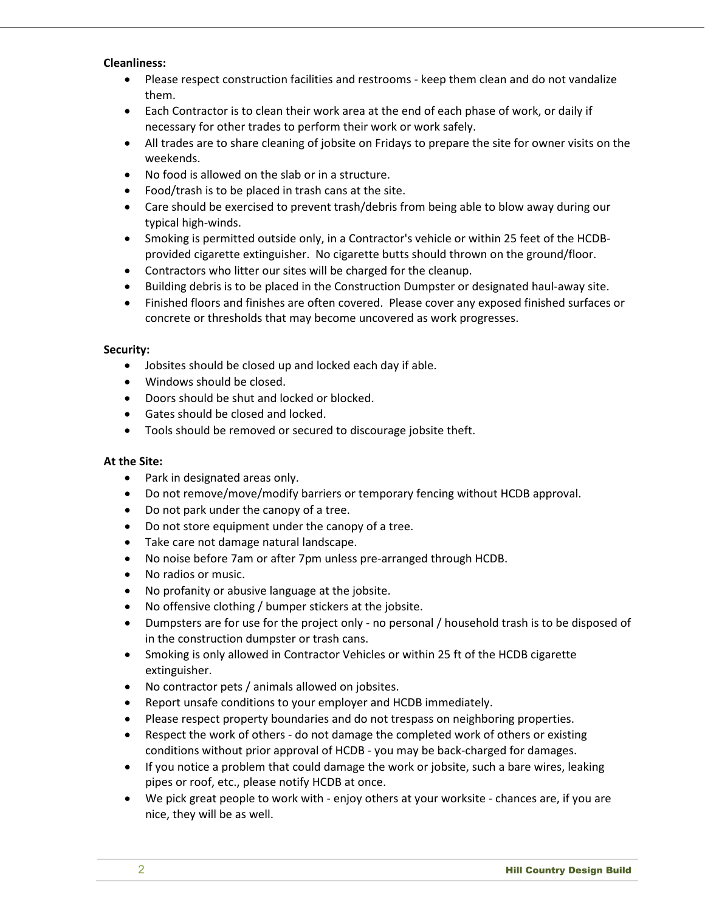#### **Cleanliness:**

- Please respect construction facilities and restrooms keep them clean and do not vandalize them.
- Each Contractor is to clean their work area at the end of each phase of work, or daily if necessary for other trades to perform their work or work safely.
- All trades are to share cleaning of jobsite on Fridays to prepare the site for owner visits on the weekends.
- No food is allowed on the slab or in a structure.
- Food/trash is to be placed in trash cans at the site.
- Care should be exercised to prevent trash/debris from being able to blow away during our typical high-winds.
- Smoking is permitted outside only, in a Contractor's vehicle or within 25 feet of the HCDBprovided cigarette extinguisher. No cigarette butts should thrown on the ground/floor.
- Contractors who litter our sites will be charged for the cleanup.
- Building debris is to be placed in the Construction Dumpster or designated haul-away site.
- Finished floors and finishes are often covered. Please cover any exposed finished surfaces or concrete or thresholds that may become uncovered as work progresses.

### **Security:**

- Jobsites should be closed up and locked each day if able.
- Windows should be closed.
- Doors should be shut and locked or blocked.
- Gates should be closed and locked.
- Tools should be removed or secured to discourage jobsite theft.

#### **At the Site:**

- Park in designated areas only.
- Do not remove/move/modify barriers or temporary fencing without HCDB approval.
- Do not park under the canopy of a tree.
- Do not store equipment under the canopy of a tree.
- Take care not damage natural landscape.
- No noise before 7am or after 7pm unless pre-arranged through HCDB.
- No radios or music.
- No profanity or abusive language at the jobsite.
- No offensive clothing / bumper stickers at the jobsite.
- Dumpsters are for use for the project only no personal / household trash is to be disposed of in the construction dumpster or trash cans.
- Smoking is only allowed in Contractor Vehicles or within 25 ft of the HCDB cigarette extinguisher.
- No contractor pets / animals allowed on jobsites.
- Report unsafe conditions to your employer and HCDB immediately.
- Please respect property boundaries and do not trespass on neighboring properties.
- Respect the work of others do not damage the completed work of others or existing conditions without prior approval of HCDB - you may be back-charged for damages.
- If you notice a problem that could damage the work or jobsite, such a bare wires, leaking pipes or roof, etc., please notify HCDB at once.
- We pick great people to work with enjoy others at your worksite chances are, if you are nice, they will be as well.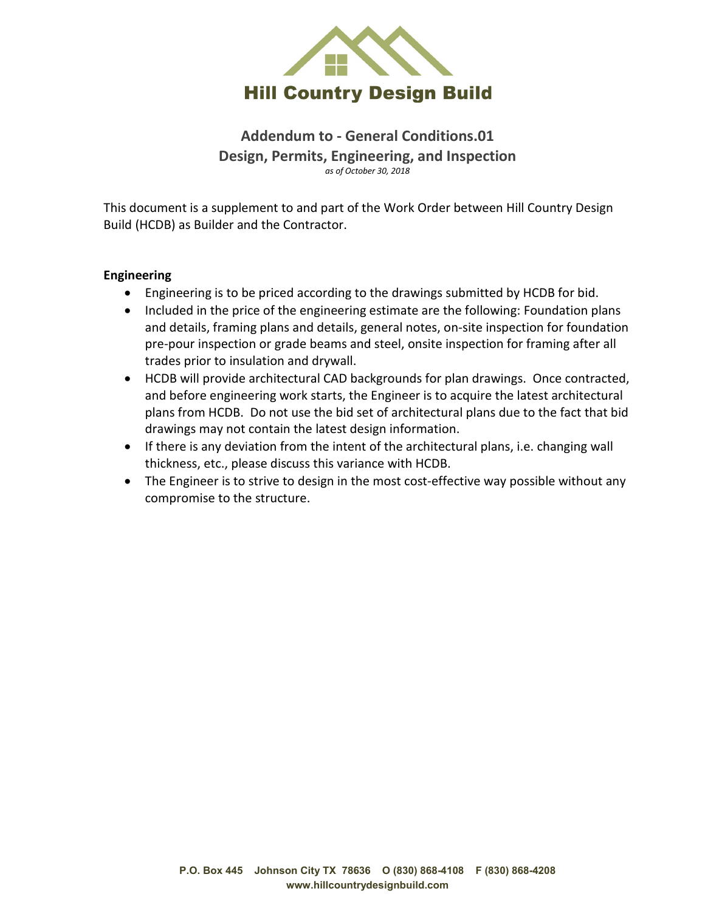

**Addendum to - General Conditions.01 Design, Permits, Engineering, and Inspection** *as of October 30, 2018*

This document is a supplement to and part of the Work Order between Hill Country Design Build (HCDB) as Builder and the Contractor.

### **Engineering**

- Engineering is to be priced according to the drawings submitted by HCDB for bid.
- Included in the price of the engineering estimate are the following: Foundation plans and details, framing plans and details, general notes, on-site inspection for foundation pre-pour inspection or grade beams and steel, onsite inspection for framing after all trades prior to insulation and drywall.
- HCDB will provide architectural CAD backgrounds for plan drawings. Once contracted, and before engineering work starts, the Engineer is to acquire the latest architectural plans from HCDB. Do not use the bid set of architectural plans due to the fact that bid drawings may not contain the latest design information.
- If there is any deviation from the intent of the architectural plans, i.e. changing wall thickness, etc., please discuss this variance with HCDB.
- The Engineer is to strive to design in the most cost-effective way possible without any compromise to the structure.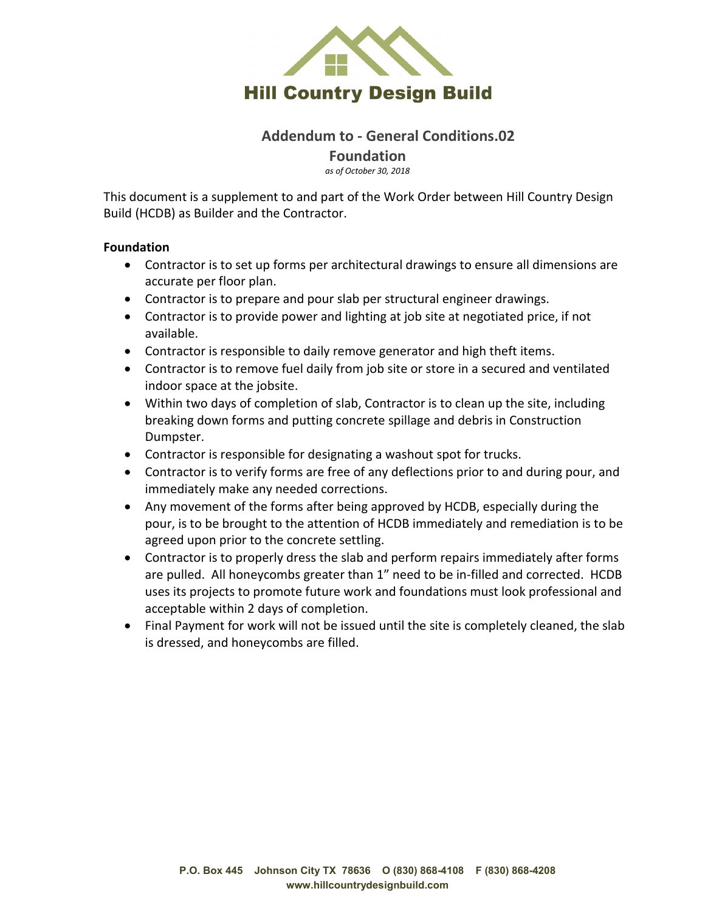

### **Addendum to - General Conditions.02 Foundation**

*as of October 30, 2018*

This document is a supplement to and part of the Work Order between Hill Country Design Build (HCDB) as Builder and the Contractor.

### **Foundation**

- Contractor is to set up forms per architectural drawings to ensure all dimensions are accurate per floor plan.
- Contractor is to prepare and pour slab per structural engineer drawings.
- Contractor is to provide power and lighting at job site at negotiated price, if not available.
- Contractor is responsible to daily remove generator and high theft items.
- Contractor is to remove fuel daily from job site or store in a secured and ventilated indoor space at the jobsite.
- Within two days of completion of slab, Contractor is to clean up the site, including breaking down forms and putting concrete spillage and debris in Construction Dumpster.
- Contractor is responsible for designating a washout spot for trucks.
- Contractor is to verify forms are free of any deflections prior to and during pour, and immediately make any needed corrections.
- Any movement of the forms after being approved by HCDB, especially during the pour, is to be brought to the attention of HCDB immediately and remediation is to be agreed upon prior to the concrete settling.
- Contractor is to properly dress the slab and perform repairs immediately after forms are pulled. All honeycombs greater than 1" need to be in-filled and corrected. HCDB uses its projects to promote future work and foundations must look professional and acceptable within 2 days of completion.
- Final Payment for work will not be issued until the site is completely cleaned, the slab is dressed, and honeycombs are filled.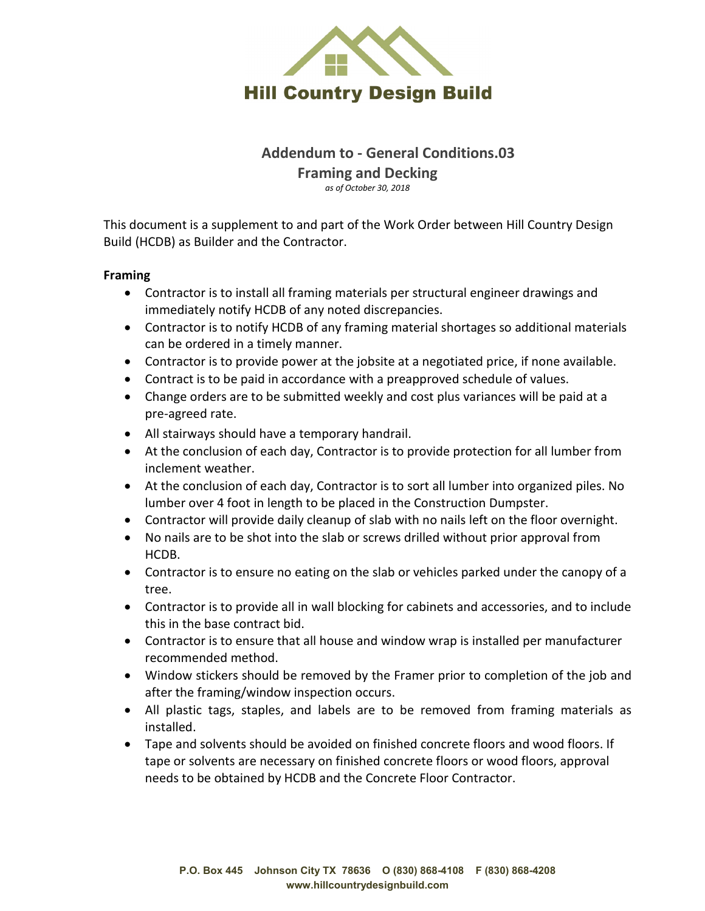

## **Addendum to - General Conditions.03 Framing and Decking** *as of October 30, 2018*

This document is a supplement to and part of the Work Order between Hill Country Design Build (HCDB) as Builder and the Contractor.

### **Framing**

- Contractor is to install all framing materials per structural engineer drawings and immediately notify HCDB of any noted discrepancies.
- Contractor is to notify HCDB of any framing material shortages so additional materials can be ordered in a timely manner.
- Contractor is to provide power at the jobsite at a negotiated price, if none available.
- Contract is to be paid in accordance with a preapproved schedule of values.
- Change orders are to be submitted weekly and cost plus variances will be paid at a pre-agreed rate.
- All stairways should have a temporary handrail.
- At the conclusion of each day, Contractor is to provide protection for all lumber from inclement weather.
- At the conclusion of each day, Contractor is to sort all lumber into organized piles. No lumber over 4 foot in length to be placed in the Construction Dumpster.
- Contractor will provide daily cleanup of slab with no nails left on the floor overnight.
- No nails are to be shot into the slab or screws drilled without prior approval from HCDB.
- Contractor is to ensure no eating on the slab or vehicles parked under the canopy of a tree.
- Contractor is to provide all in wall blocking for cabinets and accessories, and to include this in the base contract bid.
- Contractor is to ensure that all house and window wrap is installed per manufacturer recommended method.
- Window stickers should be removed by the Framer prior to completion of the job and after the framing/window inspection occurs.
- All plastic tags, staples, and labels are to be removed from framing materials as installed.
- Tape and solvents should be avoided on finished concrete floors and wood floors. If tape or solvents are necessary on finished concrete floors or wood floors, approval needs to be obtained by HCDB and the Concrete Floor Contractor.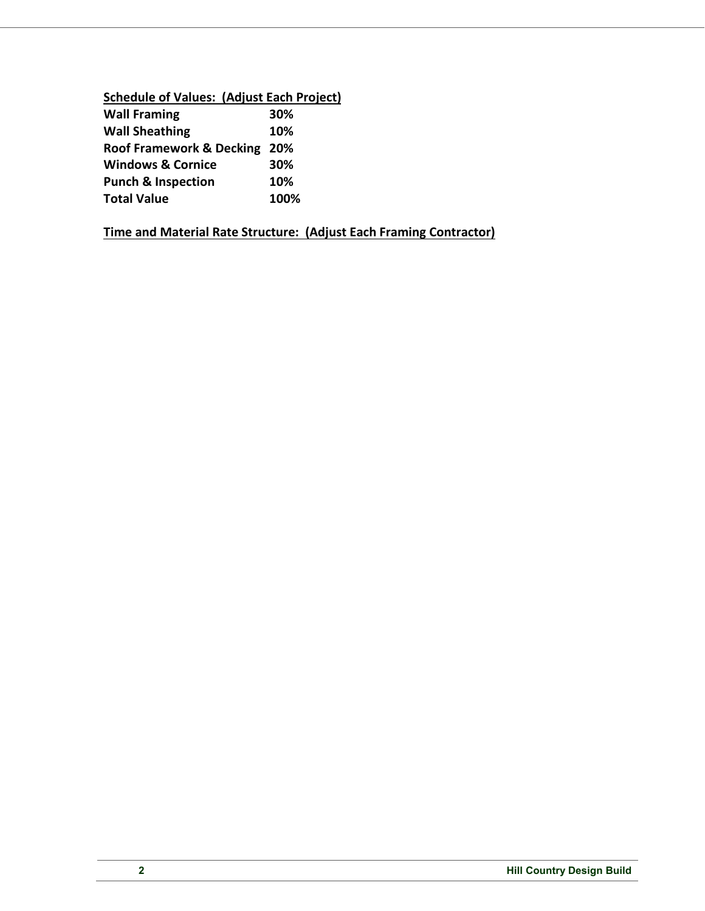## **Schedule of Values: (Adjust Each Project)**

| <b>Wall Framing</b>           | 30%  |
|-------------------------------|------|
| <b>Wall Sheathing</b>         | 10%  |
| Roof Framework & Decking 20%  |      |
| <b>Windows &amp; Cornice</b>  | 30%  |
| <b>Punch &amp; Inspection</b> | 10%  |
| <b>Total Value</b>            | 100% |

**Time and Material Rate Structure: (Adjust Each Framing Contractor)**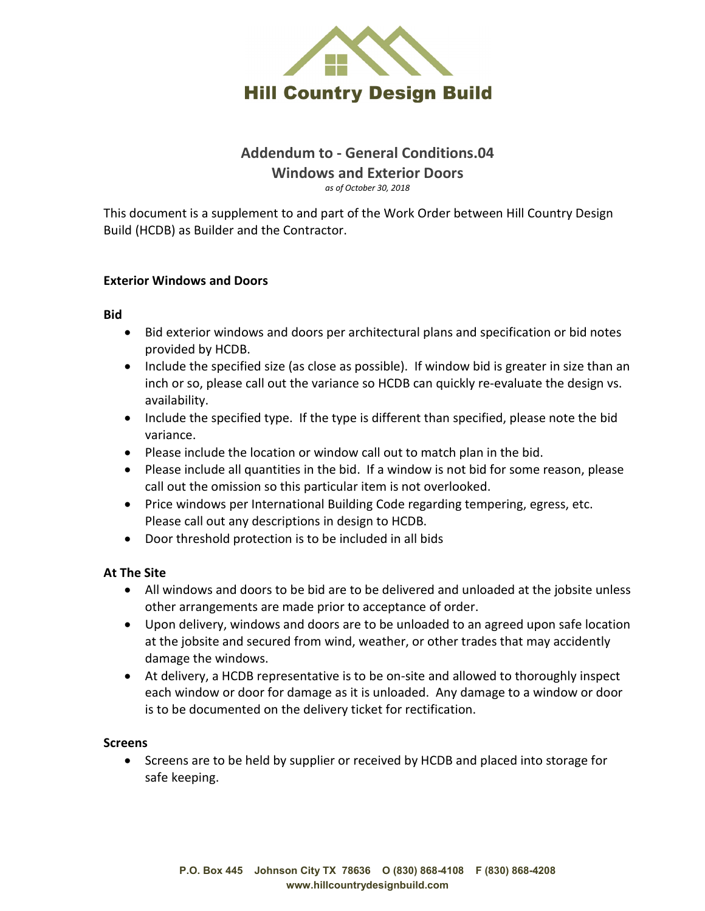

## **Addendum to - General Conditions.04 Windows and Exterior Doors** *as of October 30, 2018*

This document is a supplement to and part of the Work Order between Hill Country Design Build (HCDB) as Builder and the Contractor.

### **Exterior Windows and Doors**

**Bid**

- Bid exterior windows and doors per architectural plans and specification or bid notes provided by HCDB.
- Include the specified size (as close as possible). If window bid is greater in size than an inch or so, please call out the variance so HCDB can quickly re-evaluate the design vs. availability.
- Include the specified type. If the type is different than specified, please note the bid variance.
- Please include the location or window call out to match plan in the bid.
- Please include all quantities in the bid. If a window is not bid for some reason, please call out the omission so this particular item is not overlooked.
- Price windows per International Building Code regarding tempering, egress, etc. Please call out any descriptions in design to HCDB.
- Door threshold protection is to be included in all bids

### **At The Site**

- All windows and doors to be bid are to be delivered and unloaded at the jobsite unless other arrangements are made prior to acceptance of order.
- Upon delivery, windows and doors are to be unloaded to an agreed upon safe location at the jobsite and secured from wind, weather, or other trades that may accidently damage the windows.
- At delivery, a HCDB representative is to be on-site and allowed to thoroughly inspect each window or door for damage as it is unloaded. Any damage to a window or door is to be documented on the delivery ticket for rectification.

### **Screens**

• Screens are to be held by supplier or received by HCDB and placed into storage for safe keeping.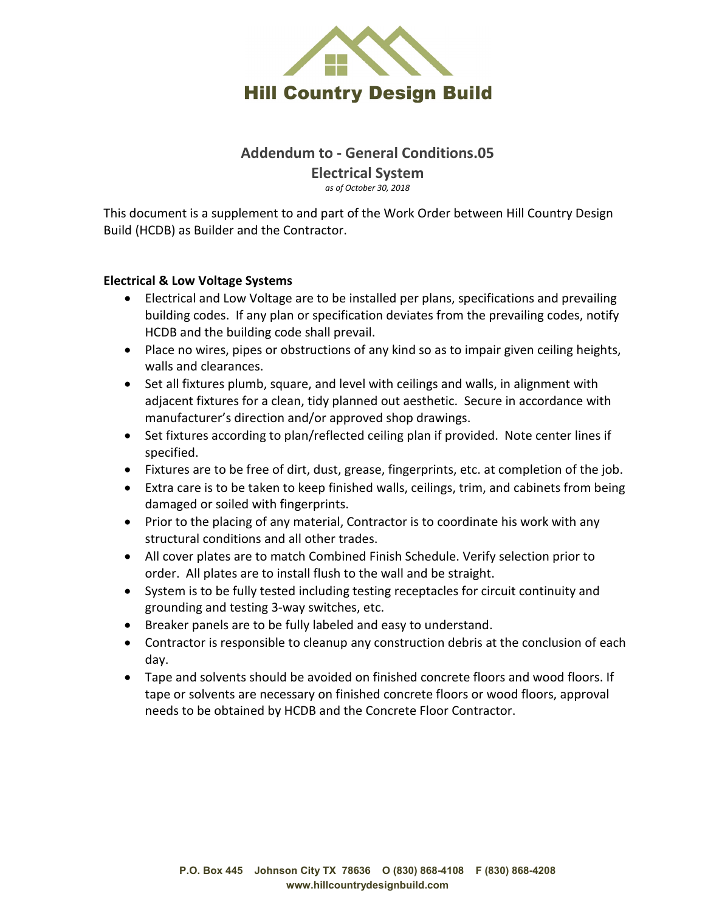

## **Addendum to - General Conditions.05 Electrical System** *as of October 30, 2018*

This document is a supplement to and part of the Work Order between Hill Country Design Build (HCDB) as Builder and the Contractor.

### **Electrical & Low Voltage Systems**

- Electrical and Low Voltage are to be installed per plans, specifications and prevailing building codes. If any plan or specification deviates from the prevailing codes, notify HCDB and the building code shall prevail.
- Place no wires, pipes or obstructions of any kind so as to impair given ceiling heights, walls and clearances.
- Set all fixtures plumb, square, and level with ceilings and walls, in alignment with adjacent fixtures for a clean, tidy planned out aesthetic. Secure in accordance with manufacturer's direction and/or approved shop drawings.
- Set fixtures according to plan/reflected ceiling plan if provided. Note center lines if specified.
- Fixtures are to be free of dirt, dust, grease, fingerprints, etc. at completion of the job.
- Extra care is to be taken to keep finished walls, ceilings, trim, and cabinets from being damaged or soiled with fingerprints.
- Prior to the placing of any material, Contractor is to coordinate his work with any structural conditions and all other trades.
- All cover plates are to match Combined Finish Schedule. Verify selection prior to order. All plates are to install flush to the wall and be straight.
- System is to be fully tested including testing receptacles for circuit continuity and grounding and testing 3-way switches, etc.
- Breaker panels are to be fully labeled and easy to understand.
- Contractor is responsible to cleanup any construction debris at the conclusion of each day.
- Tape and solvents should be avoided on finished concrete floors and wood floors. If tape or solvents are necessary on finished concrete floors or wood floors, approval needs to be obtained by HCDB and the Concrete Floor Contractor.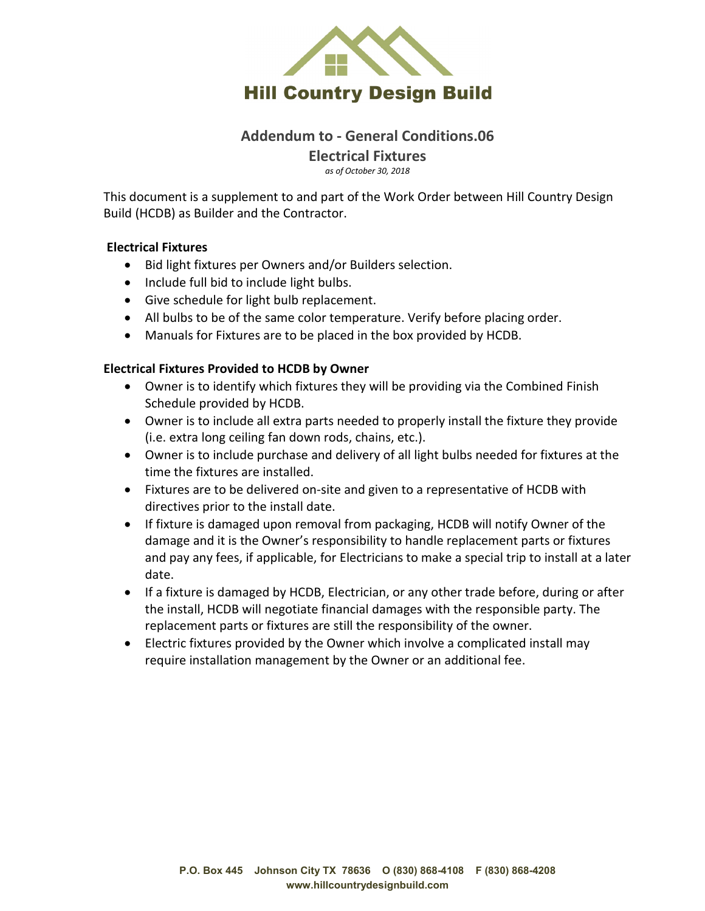

### **Addendum to - General Conditions.06 Electrical Fixtures**

*as of October 30, 2018*

This document is a supplement to and part of the Work Order between Hill Country Design Build (HCDB) as Builder and the Contractor.

### **Electrical Fixtures**

- Bid light fixtures per Owners and/or Builders selection.
- Include full bid to include light bulbs.
- Give schedule for light bulb replacement.
- All bulbs to be of the same color temperature. Verify before placing order.
- Manuals for Fixtures are to be placed in the box provided by HCDB.

### **Electrical Fixtures Provided to HCDB by Owner**

- Owner is to identify which fixtures they will be providing via the Combined Finish Schedule provided by HCDB.
- Owner is to include all extra parts needed to properly install the fixture they provide (i.e. extra long ceiling fan down rods, chains, etc.).
- Owner is to include purchase and delivery of all light bulbs needed for fixtures at the time the fixtures are installed.
- Fixtures are to be delivered on-site and given to a representative of HCDB with directives prior to the install date.
- If fixture is damaged upon removal from packaging, HCDB will notify Owner of the damage and it is the Owner's responsibility to handle replacement parts or fixtures and pay any fees, if applicable, for Electricians to make a special trip to install at a later date.
- If a fixture is damaged by HCDB, Electrician, or any other trade before, during or after the install, HCDB will negotiate financial damages with the responsible party. The replacement parts or fixtures are still the responsibility of the owner.
- Electric fixtures provided by the Owner which involve a complicated install may require installation management by the Owner or an additional fee.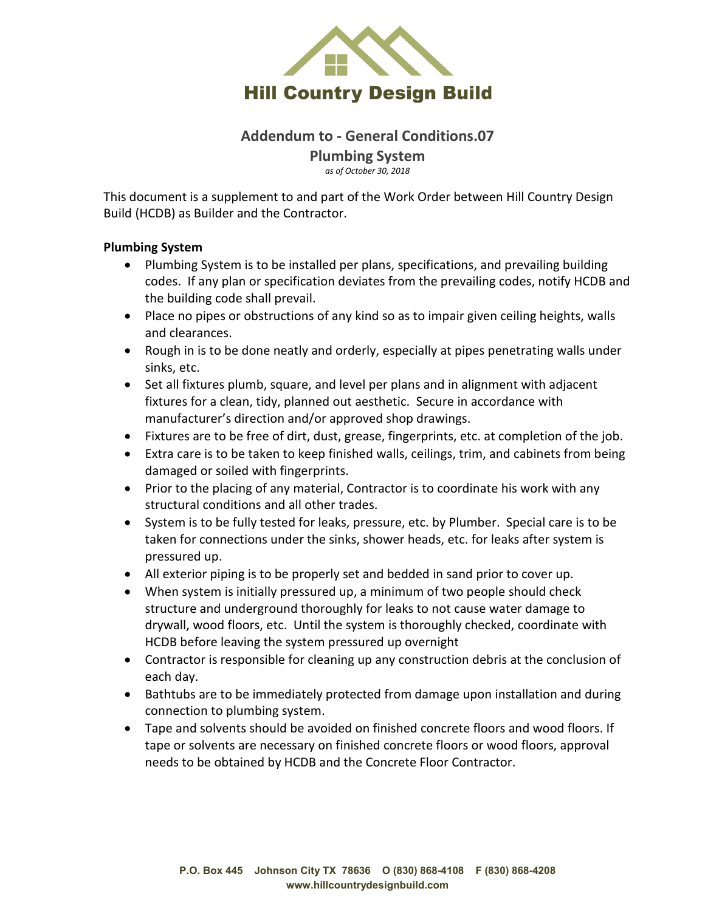

## **Addendum to - General Conditions.07 Plumbing System**

*as of October 30, 2018*

This document is a supplement to and part of the Work Order between Hill Country Design Build (HCDB) as Builder and the Contractor.

### **Plumbing System**

- Plumbing System is to be installed per plans, specifications, and prevailing building codes. If any plan or specification deviates from the prevailing codes, notify HCDB and the building code shall prevail.
- Place no pipes or obstructions of any kind so as to impair given ceiling heights, walls and clearances.
- Rough in is to be done neatly and orderly, especially at pipes penetrating walls under sinks, etc.
- Set all fixtures plumb, square, and level per plans and in alignment with adjacent fixtures for a clean, tidy, planned out aesthetic. Secure in accordance with manufacturer's direction and/or approved shop drawings.
- Fixtures are to be free of dirt, dust, grease, fingerprints, etc. at completion of the job.
- Extra care is to be taken to keep finished walls, ceilings, trim, and cabinets from being damaged or soiled with fingerprints.
- Prior to the placing of any material, Contractor is to coordinate his work with any structural conditions and all other trades.
- System is to be fully tested for leaks, pressure, etc. by Plumber. Special care is to be taken for connections under the sinks, shower heads, etc. for leaks after system is pressured up.
- All exterior piping is to be properly set and bedded in sand prior to cover up.
- When system is initially pressured up, a minimum of two people should check structure and underground thoroughly for leaks to not cause water damage to drywall, wood floors, etc. Until the system is thoroughly checked, coordinate with HCDB before leaving the system pressured up overnight
- Contractor is responsible for cleaning up any construction debris at the conclusion of each day.
- Bathtubs are to be immediately protected from damage upon installation and during connection to plumbing system.
- Tape and solvents should be avoided on finished concrete floors and wood floors. If tape or solvents are necessary on finished concrete floors or wood floors, approval needs to be obtained by HCDB and the Concrete Floor Contractor.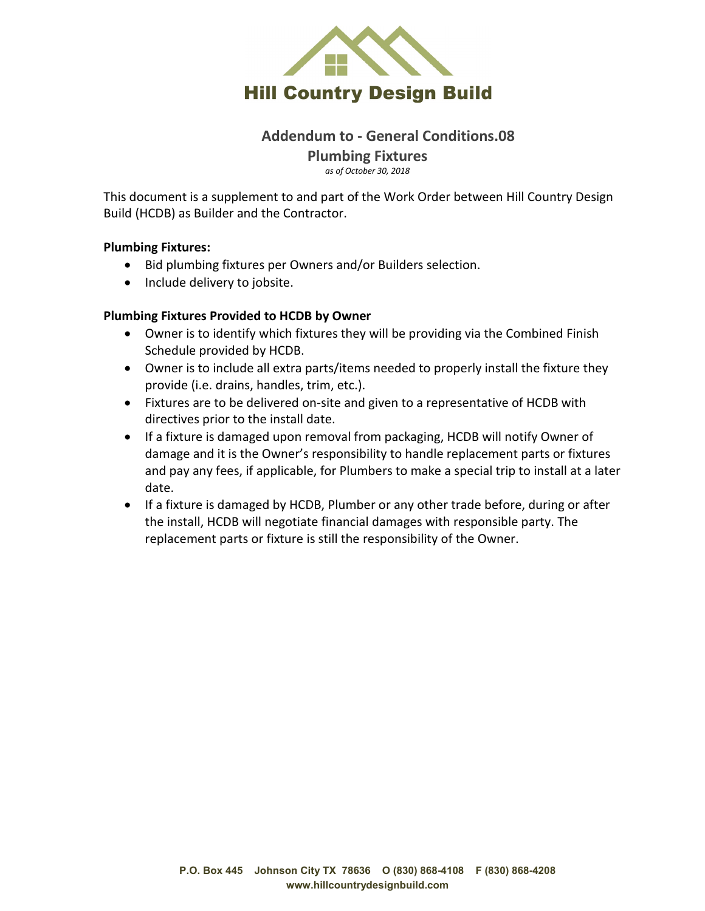

## **Addendum to - General Conditions.08 Plumbing Fixtures**

*as of October 30, 2018*

This document is a supplement to and part of the Work Order between Hill Country Design Build (HCDB) as Builder and the Contractor.

### **Plumbing Fixtures:**

- Bid plumbing fixtures per Owners and/or Builders selection.
- Include delivery to jobsite.

### **Plumbing Fixtures Provided to HCDB by Owner**

- Owner is to identify which fixtures they will be providing via the Combined Finish Schedule provided by HCDB.
- Owner is to include all extra parts/items needed to properly install the fixture they provide (i.e. drains, handles, trim, etc.).
- Fixtures are to be delivered on-site and given to a representative of HCDB with directives prior to the install date.
- If a fixture is damaged upon removal from packaging, HCDB will notify Owner of damage and it is the Owner's responsibility to handle replacement parts or fixtures and pay any fees, if applicable, for Plumbers to make a special trip to install at a later date.
- If a fixture is damaged by HCDB, Plumber or any other trade before, during or after the install, HCDB will negotiate financial damages with responsible party. The replacement parts or fixture is still the responsibility of the Owner.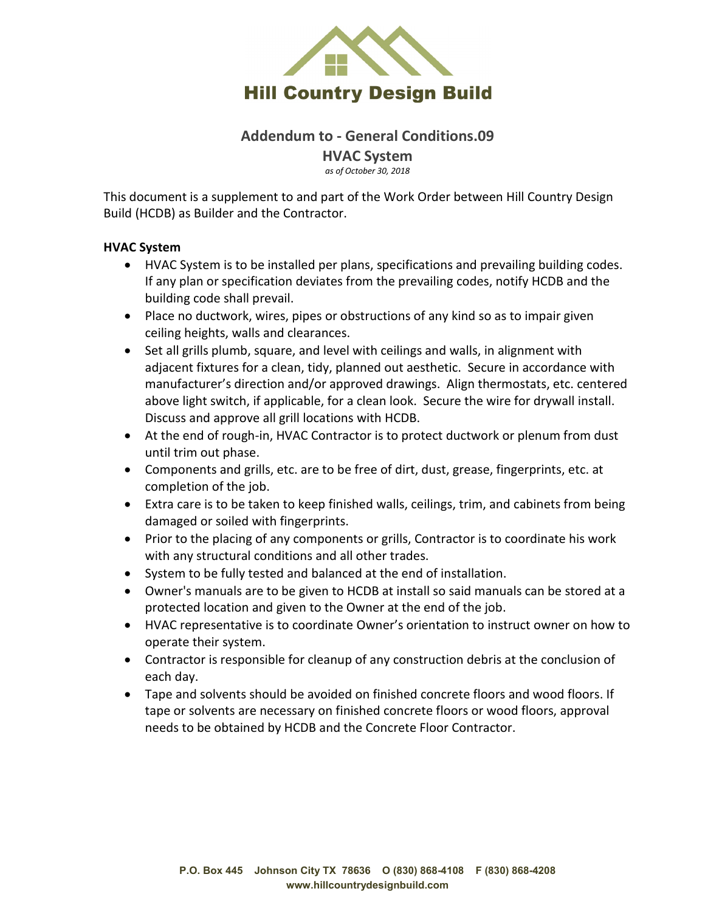

## **Addendum to - General Conditions.09 HVAC System**

*as of October 30, 2018*

This document is a supplement to and part of the Work Order between Hill Country Design Build (HCDB) as Builder and the Contractor.

### **HVAC System**

- HVAC System is to be installed per plans, specifications and prevailing building codes. If any plan or specification deviates from the prevailing codes, notify HCDB and the building code shall prevail.
- Place no ductwork, wires, pipes or obstructions of any kind so as to impair given ceiling heights, walls and clearances.
- Set all grills plumb, square, and level with ceilings and walls, in alignment with adjacent fixtures for a clean, tidy, planned out aesthetic. Secure in accordance with manufacturer's direction and/or approved drawings. Align thermostats, etc. centered above light switch, if applicable, for a clean look. Secure the wire for drywall install. Discuss and approve all grill locations with HCDB.
- At the end of rough-in, HVAC Contractor is to protect ductwork or plenum from dust until trim out phase.
- Components and grills, etc. are to be free of dirt, dust, grease, fingerprints, etc. at completion of the job.
- Extra care is to be taken to keep finished walls, ceilings, trim, and cabinets from being damaged or soiled with fingerprints.
- Prior to the placing of any components or grills, Contractor is to coordinate his work with any structural conditions and all other trades.
- System to be fully tested and balanced at the end of installation.
- Owner's manuals are to be given to HCDB at install so said manuals can be stored at a protected location and given to the Owner at the end of the job.
- HVAC representative is to coordinate Owner's orientation to instruct owner on how to operate their system.
- Contractor is responsible for cleanup of any construction debris at the conclusion of each day.
- Tape and solvents should be avoided on finished concrete floors and wood floors. If tape or solvents are necessary on finished concrete floors or wood floors, approval needs to be obtained by HCDB and the Concrete Floor Contractor.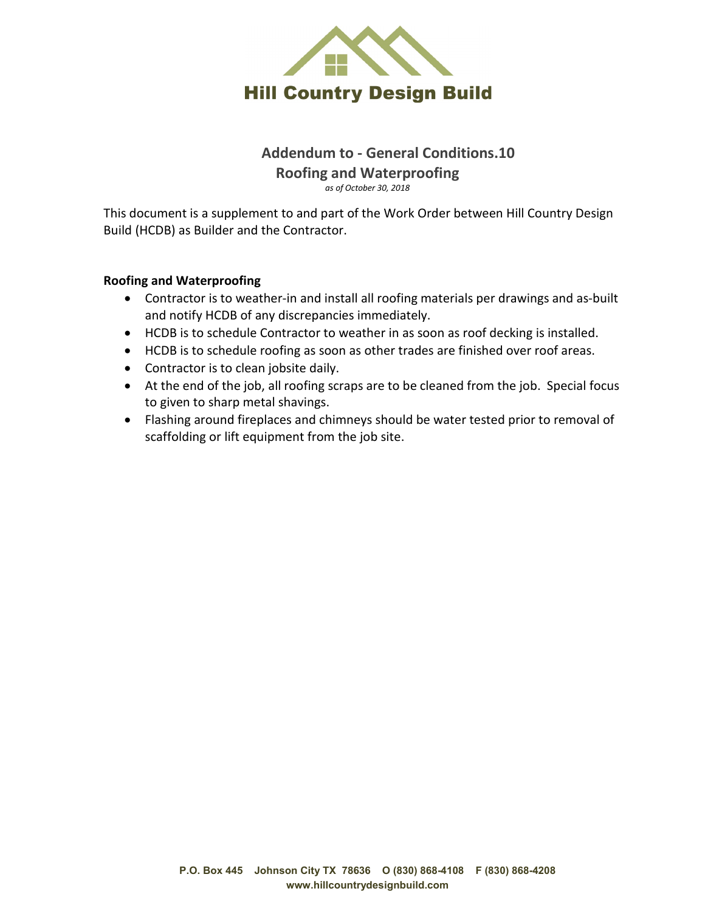

## **Addendum to - General Conditions.10 Roofing and Waterproofing** *as of October 30, 2018*

This document is a supplement to and part of the Work Order between Hill Country Design Build (HCDB) as Builder and the Contractor.

### **Roofing and Waterproofing**

- Contractor is to weather-in and install all roofing materials per drawings and as-built and notify HCDB of any discrepancies immediately.
- HCDB is to schedule Contractor to weather in as soon as roof decking is installed.
- HCDB is to schedule roofing as soon as other trades are finished over roof areas.
- Contractor is to clean jobsite daily.
- At the end of the job, all roofing scraps are to be cleaned from the job. Special focus to given to sharp metal shavings.
- Flashing around fireplaces and chimneys should be water tested prior to removal of scaffolding or lift equipment from the job site.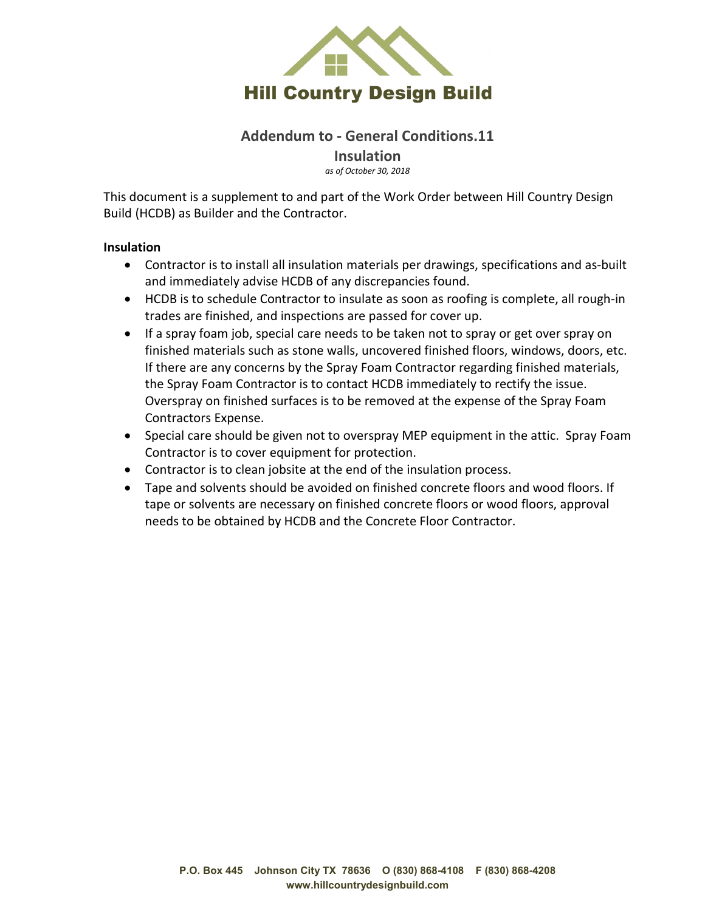

## **Addendum to - General Conditions.11 Insulation**

*as of October 30, 2018*

This document is a supplement to and part of the Work Order between Hill Country Design Build (HCDB) as Builder and the Contractor.

### **Insulation**

- Contractor is to install all insulation materials per drawings, specifications and as-built and immediately advise HCDB of any discrepancies found.
- HCDB is to schedule Contractor to insulate as soon as roofing is complete, all rough-in trades are finished, and inspections are passed for cover up.
- If a spray foam job, special care needs to be taken not to spray or get over spray on finished materials such as stone walls, uncovered finished floors, windows, doors, etc. If there are any concerns by the Spray Foam Contractor regarding finished materials, the Spray Foam Contractor is to contact HCDB immediately to rectify the issue. Overspray on finished surfaces is to be removed at the expense of the Spray Foam Contractors Expense.
- Special care should be given not to overspray MEP equipment in the attic. Spray Foam Contractor is to cover equipment for protection.
- Contractor is to clean jobsite at the end of the insulation process.
- Tape and solvents should be avoided on finished concrete floors and wood floors. If tape or solvents are necessary on finished concrete floors or wood floors, approval needs to be obtained by HCDB and the Concrete Floor Contractor.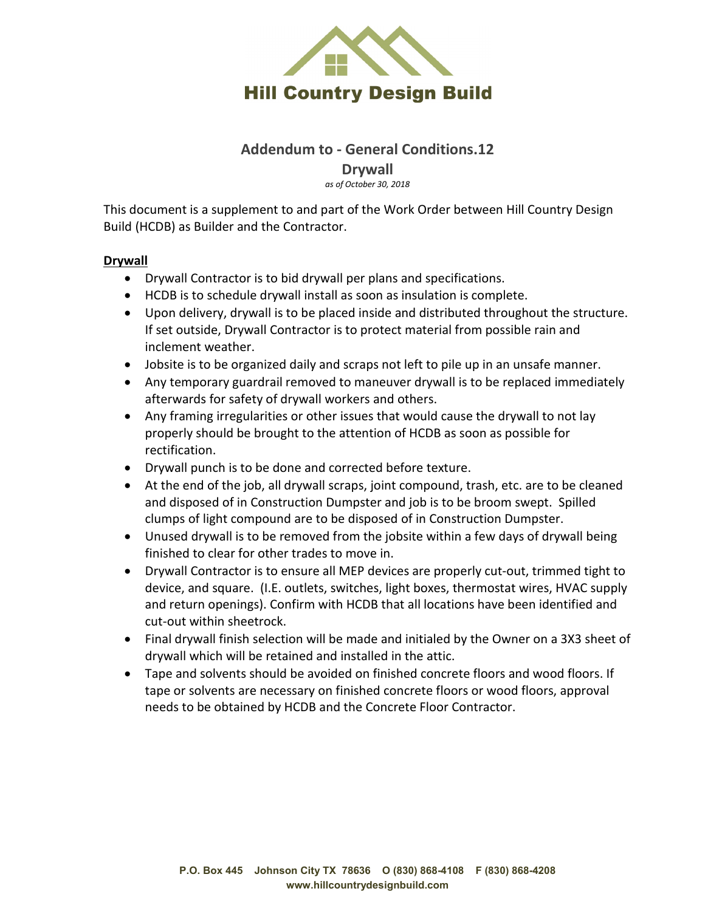

## **Addendum to - General Conditions.12**

**Drywall**

*as of October 30, 2018*

This document is a supplement to and part of the Work Order between Hill Country Design Build (HCDB) as Builder and the Contractor.

### **Drywall**

- Drywall Contractor is to bid drywall per plans and specifications.
- HCDB is to schedule drywall install as soon as insulation is complete.
- Upon delivery, drywall is to be placed inside and distributed throughout the structure. If set outside, Drywall Contractor is to protect material from possible rain and inclement weather.
- Jobsite is to be organized daily and scraps not left to pile up in an unsafe manner.
- Any temporary guardrail removed to maneuver drywall is to be replaced immediately afterwards for safety of drywall workers and others.
- Any framing irregularities or other issues that would cause the drywall to not lay properly should be brought to the attention of HCDB as soon as possible for rectification.
- Drywall punch is to be done and corrected before texture.
- At the end of the job, all drywall scraps, joint compound, trash, etc. are to be cleaned and disposed of in Construction Dumpster and job is to be broom swept. Spilled clumps of light compound are to be disposed of in Construction Dumpster.
- Unused drywall is to be removed from the jobsite within a few days of drywall being finished to clear for other trades to move in.
- Drywall Contractor is to ensure all MEP devices are properly cut-out, trimmed tight to device, and square. (I.E. outlets, switches, light boxes, thermostat wires, HVAC supply and return openings). Confirm with HCDB that all locations have been identified and cut-out within sheetrock.
- Final drywall finish selection will be made and initialed by the Owner on a 3X3 sheet of drywall which will be retained and installed in the attic.
- Tape and solvents should be avoided on finished concrete floors and wood floors. If tape or solvents are necessary on finished concrete floors or wood floors, approval needs to be obtained by HCDB and the Concrete Floor Contractor.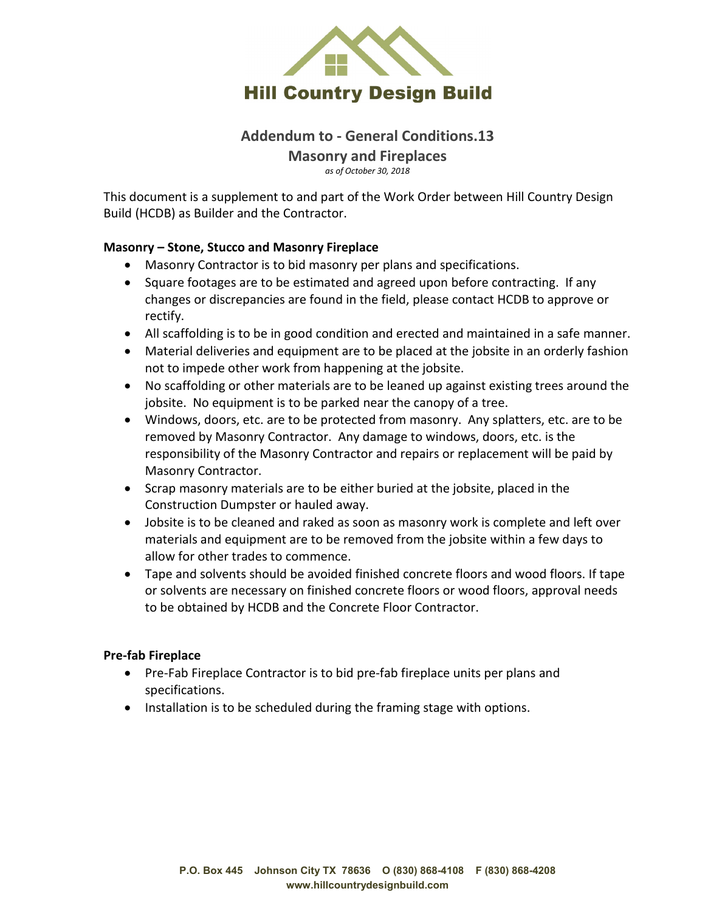

# **Addendum to - General Conditions.13 Masonry and Fireplaces**

*as of October 30, 2018*

This document is a supplement to and part of the Work Order between Hill Country Design Build (HCDB) as Builder and the Contractor.

### **Masonry – Stone, Stucco and Masonry Fireplace**

- Masonry Contractor is to bid masonry per plans and specifications.
- Square footages are to be estimated and agreed upon before contracting. If any changes or discrepancies are found in the field, please contact HCDB to approve or rectify.
- All scaffolding is to be in good condition and erected and maintained in a safe manner.
- Material deliveries and equipment are to be placed at the jobsite in an orderly fashion not to impede other work from happening at the jobsite.
- No scaffolding or other materials are to be leaned up against existing trees around the jobsite. No equipment is to be parked near the canopy of a tree.
- Windows, doors, etc. are to be protected from masonry. Any splatters, etc. are to be removed by Masonry Contractor. Any damage to windows, doors, etc. is the responsibility of the Masonry Contractor and repairs or replacement will be paid by Masonry Contractor.
- Scrap masonry materials are to be either buried at the jobsite, placed in the Construction Dumpster or hauled away.
- Jobsite is to be cleaned and raked as soon as masonry work is complete and left over materials and equipment are to be removed from the jobsite within a few days to allow for other trades to commence.
- Tape and solvents should be avoided finished concrete floors and wood floors. If tape or solvents are necessary on finished concrete floors or wood floors, approval needs to be obtained by HCDB and the Concrete Floor Contractor.

### **Pre-fab Fireplace**

- Pre-Fab Fireplace Contractor is to bid pre-fab fireplace units per plans and specifications.
- Installation is to be scheduled during the framing stage with options.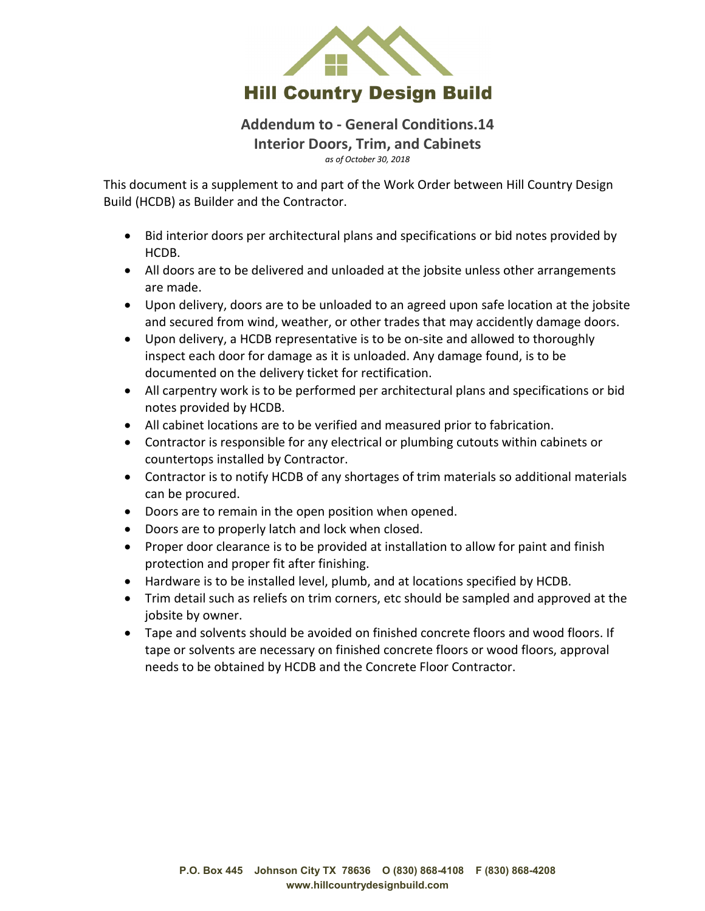

## **Addendum to - General Conditions.14 Interior Doors, Trim, and Cabinets** *as of October 30, 2018*

This document is a supplement to and part of the Work Order between Hill Country Design Build (HCDB) as Builder and the Contractor.

- Bid interior doors per architectural plans and specifications or bid notes provided by HCDB.
- All doors are to be delivered and unloaded at the jobsite unless other arrangements are made.
- Upon delivery, doors are to be unloaded to an agreed upon safe location at the jobsite and secured from wind, weather, or other trades that may accidently damage doors.
- Upon delivery, a HCDB representative is to be on-site and allowed to thoroughly inspect each door for damage as it is unloaded. Any damage found, is to be documented on the delivery ticket for rectification.
- All carpentry work is to be performed per architectural plans and specifications or bid notes provided by HCDB.
- All cabinet locations are to be verified and measured prior to fabrication.
- Contractor is responsible for any electrical or plumbing cutouts within cabinets or countertops installed by Contractor.
- Contractor is to notify HCDB of any shortages of trim materials so additional materials can be procured.
- Doors are to remain in the open position when opened.
- Doors are to properly latch and lock when closed.
- Proper door clearance is to be provided at installation to allow for paint and finish protection and proper fit after finishing.
- Hardware is to be installed level, plumb, and at locations specified by HCDB.
- Trim detail such as reliefs on trim corners, etc should be sampled and approved at the jobsite by owner.
- Tape and solvents should be avoided on finished concrete floors and wood floors. If tape or solvents are necessary on finished concrete floors or wood floors, approval needs to be obtained by HCDB and the Concrete Floor Contractor.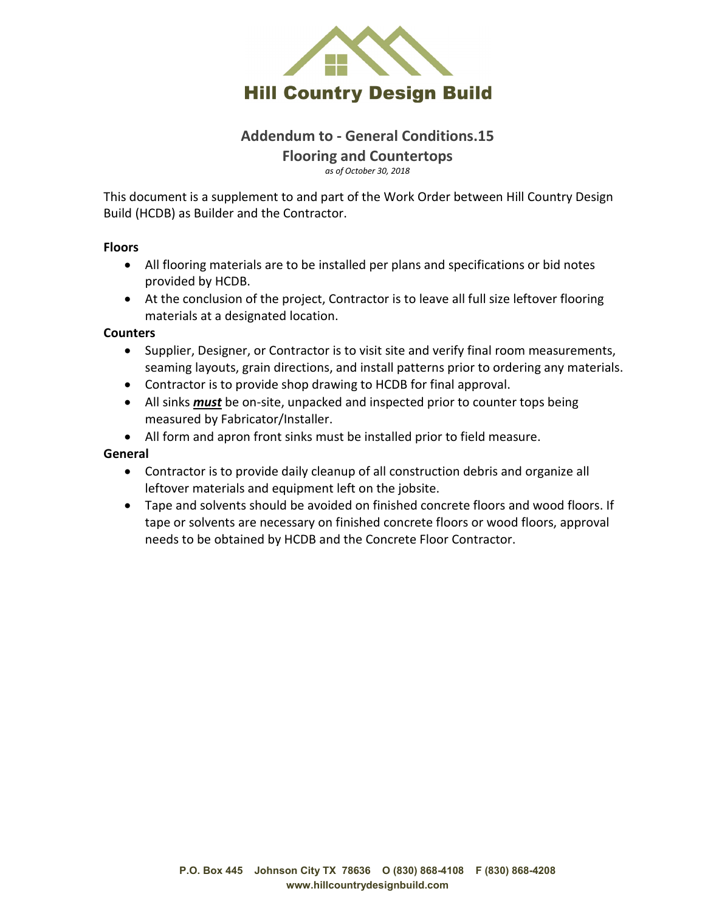

# **Addendum to - General Conditions.15 Flooring and Countertops**

*as of October 30, 2018*

This document is a supplement to and part of the Work Order between Hill Country Design Build (HCDB) as Builder and the Contractor.

### **Floors**

- All flooring materials are to be installed per plans and specifications or bid notes provided by HCDB.
- At the conclusion of the project, Contractor is to leave all full size leftover flooring materials at a designated location.

### **Counters**

- Supplier, Designer, or Contractor is to visit site and verify final room measurements, seaming layouts, grain directions, and install patterns prior to ordering any materials.
- Contractor is to provide shop drawing to HCDB for final approval.
- All sinks *must* be on-site, unpacked and inspected prior to counter tops being measured by Fabricator/Installer.
- All form and apron front sinks must be installed prior to field measure.

### **General**

- Contractor is to provide daily cleanup of all construction debris and organize all leftover materials and equipment left on the jobsite.
- Tape and solvents should be avoided on finished concrete floors and wood floors. If tape or solvents are necessary on finished concrete floors or wood floors, approval needs to be obtained by HCDB and the Concrete Floor Contractor.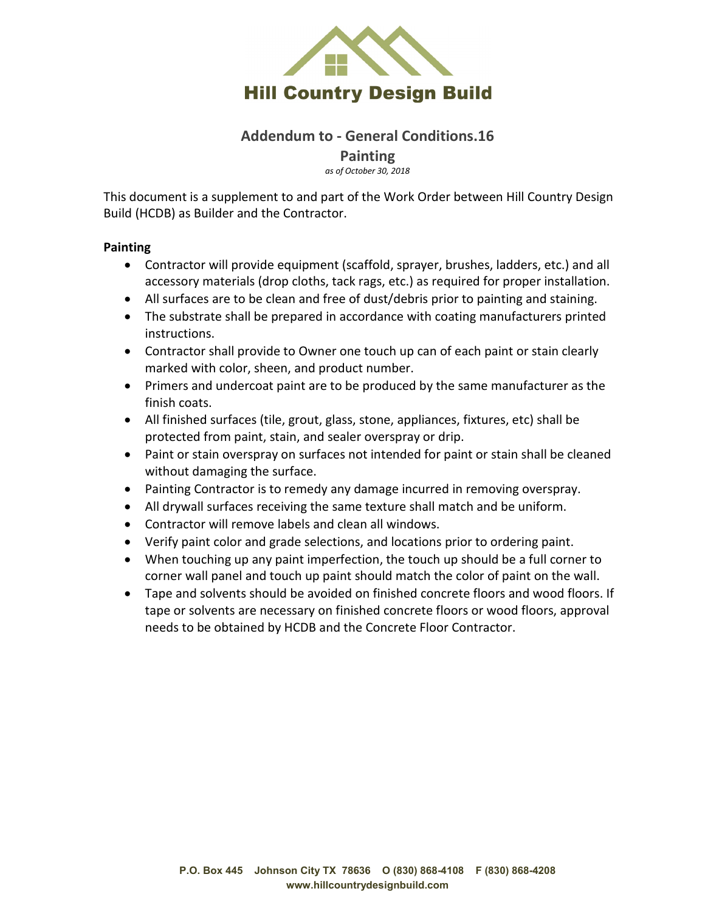

## **Addendum to - General Conditions.16 Painting**

*as of October 30, 2018*

This document is a supplement to and part of the Work Order between Hill Country Design Build (HCDB) as Builder and the Contractor.

### **Painting**

- Contractor will provide equipment (scaffold, sprayer, brushes, ladders, etc.) and all accessory materials (drop cloths, tack rags, etc.) as required for proper installation.
- All surfaces are to be clean and free of dust/debris prior to painting and staining.
- The substrate shall be prepared in accordance with coating manufacturers printed instructions.
- Contractor shall provide to Owner one touch up can of each paint or stain clearly marked with color, sheen, and product number.
- Primers and undercoat paint are to be produced by the same manufacturer as the finish coats.
- All finished surfaces (tile, grout, glass, stone, appliances, fixtures, etc) shall be protected from paint, stain, and sealer overspray or drip.
- Paint or stain overspray on surfaces not intended for paint or stain shall be cleaned without damaging the surface.
- Painting Contractor is to remedy any damage incurred in removing overspray.
- All drywall surfaces receiving the same texture shall match and be uniform.
- Contractor will remove labels and clean all windows.
- Verify paint color and grade selections, and locations prior to ordering paint.
- When touching up any paint imperfection, the touch up should be a full corner to corner wall panel and touch up paint should match the color of paint on the wall.
- Tape and solvents should be avoided on finished concrete floors and wood floors. If tape or solvents are necessary on finished concrete floors or wood floors, approval needs to be obtained by HCDB and the Concrete Floor Contractor.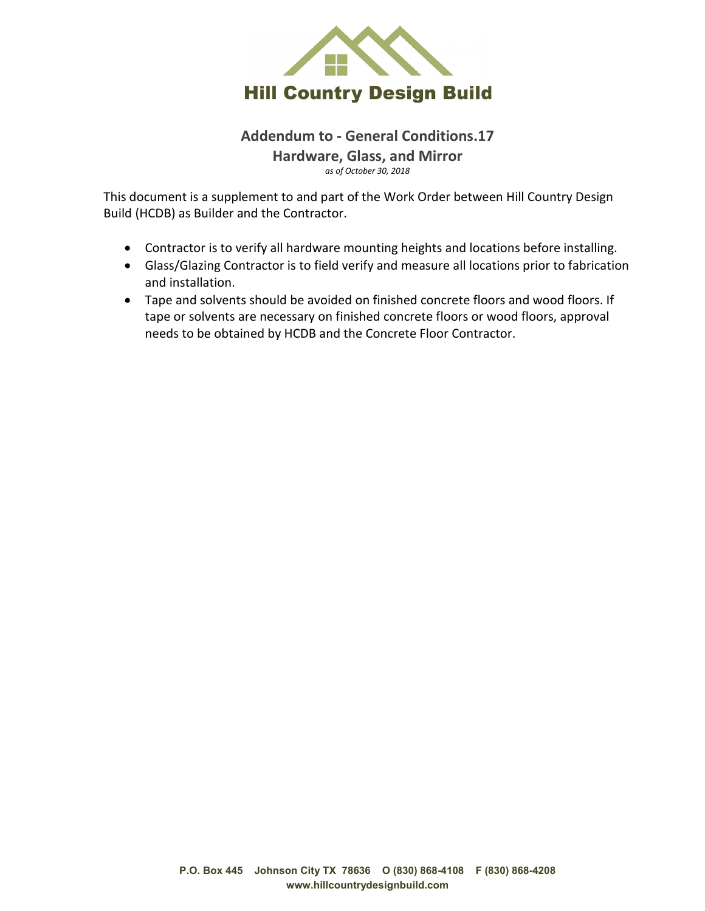

## **Addendum to - General Conditions.17 Hardware, Glass, and Mirror** *as of October 30, 2018*

This document is a supplement to and part of the Work Order between Hill Country Design Build (HCDB) as Builder and the Contractor.

- Contractor is to verify all hardware mounting heights and locations before installing.
- Glass/Glazing Contractor is to field verify and measure all locations prior to fabrication and installation.
- Tape and solvents should be avoided on finished concrete floors and wood floors. If tape or solvents are necessary on finished concrete floors or wood floors, approval needs to be obtained by HCDB and the Concrete Floor Contractor.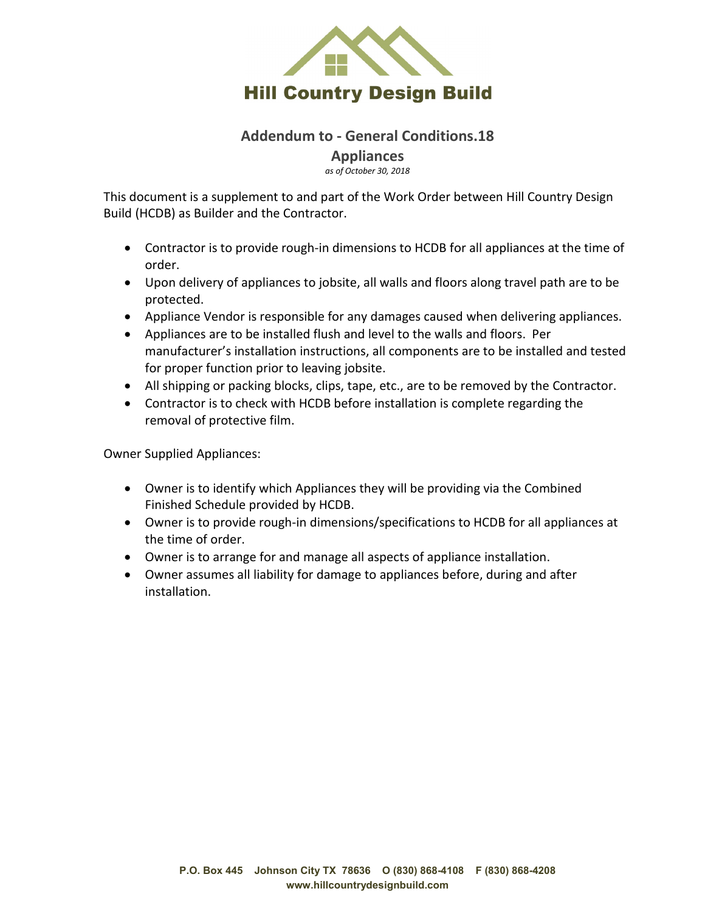

## **Addendum to - General Conditions.18 Appliances**

*as of October 30, 2018*

This document is a supplement to and part of the Work Order between Hill Country Design Build (HCDB) as Builder and the Contractor.

- Contractor is to provide rough-in dimensions to HCDB for all appliances at the time of order.
- Upon delivery of appliances to jobsite, all walls and floors along travel path are to be protected.
- Appliance Vendor is responsible for any damages caused when delivering appliances.
- Appliances are to be installed flush and level to the walls and floors. Per manufacturer's installation instructions, all components are to be installed and tested for proper function prior to leaving jobsite.
- All shipping or packing blocks, clips, tape, etc., are to be removed by the Contractor.
- Contractor is to check with HCDB before installation is complete regarding the removal of protective film.

Owner Supplied Appliances:

- Owner is to identify which Appliances they will be providing via the Combined Finished Schedule provided by HCDB.
- Owner is to provide rough-in dimensions/specifications to HCDB for all appliances at the time of order.
- Owner is to arrange for and manage all aspects of appliance installation.
- Owner assumes all liability for damage to appliances before, during and after installation.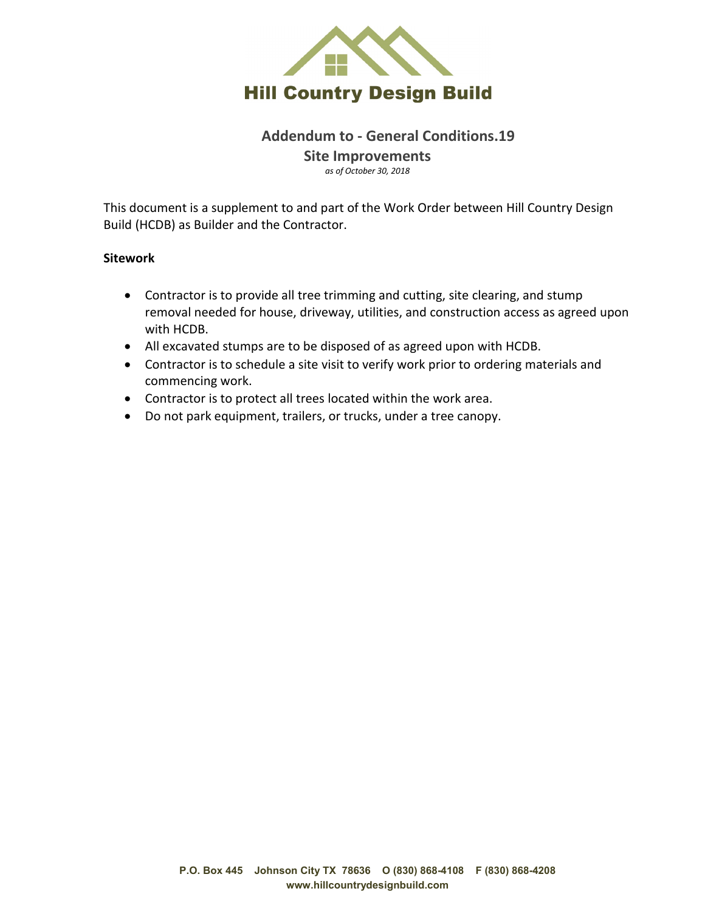

### **Addendum to - General Conditions.19 Site Improvements** *as of October 30, 2018*

This document is a supplement to and part of the Work Order between Hill Country Design Build (HCDB) as Builder and the Contractor.

### **Sitework**

- Contractor is to provide all tree trimming and cutting, site clearing, and stump removal needed for house, driveway, utilities, and construction access as agreed upon with HCDB.
- All excavated stumps are to be disposed of as agreed upon with HCDB.
- Contractor is to schedule a site visit to verify work prior to ordering materials and commencing work.
- Contractor is to protect all trees located within the work area.
- Do not park equipment, trailers, or trucks, under a tree canopy.